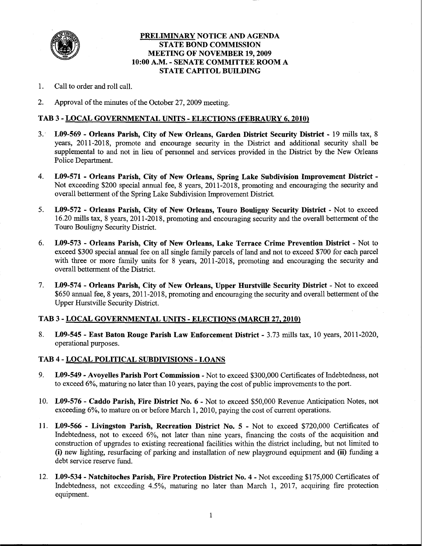

## PRELIMINARY NOTICE AND AGENDA **STATE BOND COMMISSION MEETING OF NOVEMBER 19, 2009** 10:00 A.M. - SENATE COMMITTEE ROOM A **STATE CAPITOL BUILDING**

- 1. Call to order and roll call.
- $2<sub>1</sub>$ Approval of the minutes of the October 27, 2009 meeting.

# TAB 3 - LOCAL GOVERNMENTAL UNITS - ELECTIONS (FEBRAURY 6, 2010)

- $3.1$ L09-569 - Orleans Parish, City of New Orleans, Garden District Security District - 19 mills tax, 8 years, 2011-2018, promote and encourage security in the District and additional security shall be supplemental to and not in lieu of personnel and services provided in the District by the New Orleans Police Department.
- $4.$ L09-571 - Orleans Parish, City of New Orleans, Spring Lake Subdivision Improvement District -Not exceeding \$200 special annual fee, 8 years, 2011-2018, promoting and encouraging the security and overall betterment of the Spring Lake Subdivision Improvement District.
- 5. L09-572 - Orleans Parish, City of New Orleans, Touro Bouligny Security District - Not to exceed 16.20 mills tax, 8 years, 2011-2018, promoting and encouraging security and the overall betterment of the Touro Bouligny Security District.
- 6. L09-573 - Orleans Parish, City of New Orleans, Lake Terrace Crime Prevention District - Not to exceed \$300 special annual fee on all single family parcels of land and not to exceed \$700 for each parcel with three or more family units for 8 years, 2011-2018, promoting and encouraging the security and overall betterment of the District.
- 7. L09-574 - Orleans Parish, City of New Orleans, Upper Hurstville Security District - Not to exceed \$650 annual fee, 8 years, 2011-2018, promoting and encouraging the security and overall betterment of the Upper Hurstville Security District.

## TAB 3 - LOCAL GOVERNMENTAL UNITS - ELECTIONS (MARCH 27, 2010)

8. L09-545 - East Baton Rouge Parish Law Enforcement District - 3.73 mills tax, 10 years, 2011-2020, operational purposes.

## TAB 4 - LOCAL POLITICAL SUBDIVISIONS - LOANS

- $9<sub>1</sub>$ L09-549 - Avoyelles Parish Port Commission - Not to exceed \$300,000 Certificates of Indebtedness, not to exceed 6%, maturing no later than 10 years, paying the cost of public improvements to the port.
- 10. L09-576 Caddo Parish, Fire District No. 6 Not to exceed \$50,000 Revenue Anticipation Notes, not exceeding 6%, to mature on or before March 1, 2010, paying the cost of current operations.
- 11. L09-566 Livingston Parish, Recreation District No. 5 Not to exceed \$720,000 Certificates of Indebtedness, not to exceed 6%, not later than nine years, financing the costs of the acquisition and construction of upgrades to existing recreational facilities within the district including, but not limited to (i) new lighting, resurfacing of parking and installation of new playground equipment and (ii) funding a debt service reserve fund.
- 12. L09-534 Natchitoches Parish, Fire Protection District No. 4 Not exceeding \$175,000 Certificates of Indebtedness, not exceeding 4.5%, maturing no later than March 1, 2017, acquiring fire protection equipment.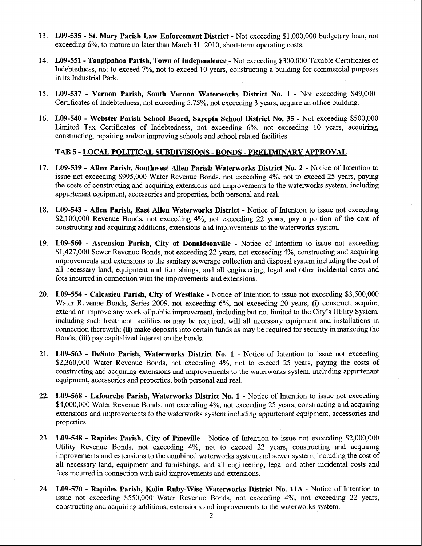- 13. L09-535 St. Mary Parish Law Enforcement District Not exceeding \$1,000,000 budgetary loan, not exceeding 6%, to mature no later than March 31, 2010, short-term operating costs.
- 14. L09-551 Tangipahoa Parish, Town of Independence Not exceeding \$300,000 Taxable Certificates of Indebtedness, not to exceed 7%, not to exceed 10 years, constructing a building for commercial purposes in its Industrial Park.
- 15. L09-537 Vernon Parish, South Vernon Waterworks District No. 1 Not exceeding \$49,000 Certificates of Indebtedness, not exceeding 5.75%, not exceeding 3 years, acquire an office building.
- 16. L09-540 Webster Parish School Board, Sarepta School District No. 35 Not exceeding \$500,000 Limited Tax Certificates of Indebtedness, not exceeding 6%, not exceeding 10 years, acquiring, constructing, repairing and/or improving schools and school related facilities.

#### TAB 5 - LOCAL POLITICAL SUBDIVISIONS - BONDS - PRELIMINARY APPROVAL

- 17. L09-539 Allen Parish, Southwest Allen Parish Waterworks District No. 2 Notice of Intention to issue not exceeding \$995,000 Water Revenue Bonds, not exceeding 4%, not to exceed 25 years, paying the costs of constructing and acquiring extensions and improvements to the waterworks system, including appurtenant equipment, accessories and properties, both personal and real.
- 18. L09-543 Allen Parish, East Allen Waterworks District Notice of Intention to issue not exceeding \$2,100,000 Revenue Bonds, not exceeding 4%, not exceeding 22 years, pay a portion of the cost of constructing and acquiring additions, extensions and improvements to the waterworks system.
- 19. L09-560 Ascension Parish, City of Donaldsonville Notice of Intention to issue not exceeding \$1,427,000 Sewer Revenue Bonds, not exceeding 22 years, not exceeding 4%, constructing and acquiring improvements and extensions to the sanitary sewerage collection and disposal system including the cost of all necessary land, equipment and furnishings, and all engineering, legal and other incidental costs and fees incurred in connection with the improvements and extensions.
- 20. L09-554 Calcasieu Parish, City of Westlake Notice of Intention to issue not exceeding \$3,500,000 Water Revenue Bonds, Series 2009, not exceeding 6%, not exceeding 20 years, (i) construct, acquire, extend or improve any work of public improvement, including but not limited to the City's Utility System, including such treatment facilities as may be required, will all necessary equipment and installations in connection therewith; (ii) make deposits into certain funds as may be required for security in marketing the Bonds; (iii) pay capitalized interest on the bonds.
- 21. L09-563 DeSoto Parish, Waterworks District No. 1 Notice of Intention to issue not exceeding \$2,360,000 Water Revenue Bonds, not exceeding 4%, not to exceed 25 years, paying the costs of constructing and acquiring extensions and improvements to the waterworks system, including appurtenant equipment, accessories and properties, both personal and real.
- 22. L09-568 Lafourche Parish, Waterworks District No. 1 Notice of Intention to issue not exceeding \$4,000,000 Water Revenue Bonds, not exceeding 4%, not exceeding 25 years, constructing and acquiring extensions and improvements to the waterworks system including appurtenant equipment, accessories and properties.
- 23. L09-548 Rapides Parish, City of Pineville Notice of Intention to issue not exceeding \$2,000,000 Utility Revenue Bonds, not exceeding 4%, not to exceed 22 years, constructing and acquiring improvements and extensions to the combined waterworks system and sewer system, including the cost of all necessary land, equipment and furnishings, and all engineering, legal and other incidental costs and fees incurred in connection with said improvements and extensions.
- 24. L09-570 Rapides Parish, Kolin Ruby-Wise Waterworks District No. 11A Notice of Intention to issue not exceeding \$550,000 Water Revenue Bonds, not exceeding 4%, not exceeding 22 years, constructing and acquiring additions, extensions and improvements to the waterworks system.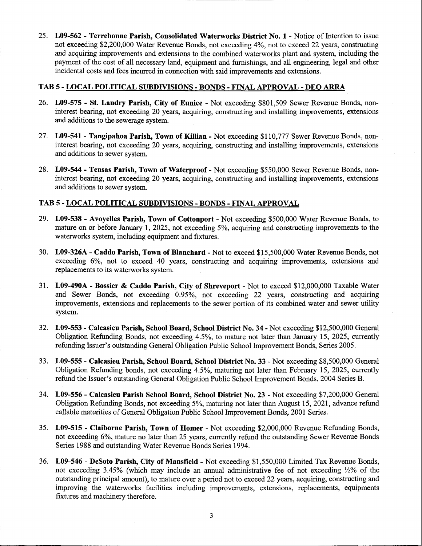25. L09-562 - Terrebonne Parish, Consolidated Waterworks District No. 1 - Notice of Intention to issue not exceeding \$2,200,000 Water Revenue Bonds, not exceeding 4%, not to exceed 22 years, constructing and acquiring improvements and extensions to the combined waterworks plant and system, including the payment of the cost of all necessary land, equipment and furnishings, and all engineering, legal and other incidental costs and fees incurred in connection with said improvements and extensions.

# TAB 5 - LOCAL POLITICAL SUBDIVISIONS - BONDS - FINAL APPROVAL - DEO ARRA

- 26. L09-575 St. Landry Parish, City of Eunice Not exceeding \$801,509 Sewer Revenue Bonds, noninterest bearing, not exceeding 20 years, acquiring, constructing and installing improvements, extensions and additions to the sewerage system.
- 27. L09-541 Tangipahoa Parish, Town of Killian Not exceeding \$110,777 Sewer Revenue Bonds, noninterest bearing, not exceeding 20 years, acquiring, constructing and installing improvements, extensions and additions to sewer system.
- 28. L09-544 Tensas Parish, Town of Waterproof Not exceeding \$550,000 Sewer Revenue Bonds, noninterest bearing, not exceeding 20 years, acquiring, constructing and installing improvements, extensions and additions to sewer system.

# TAB 5 - LOCAL POLITICAL SUBDIVISIONS - BONDS - FINAL APPROVAL

- 29. L09-538 Avoyelles Parish, Town of Cottonport Not exceeding \$500,000 Water Revenue Bonds, to mature on or before January 1, 2025, not exceeding 5%, acquiring and constructing improvements to the waterworks system, including equipment and fixtures.
- 30. L09-326A Caddo Parish, Town of Blanchard Not to exceed \$15,500,000 Water Revenue Bonds, not exceeding 6%, not to exceed 40 years, constructing and acquiring improvements, extensions and replacements to its waterworks system.
- 31. L09-490A Bossier & Caddo Parish, City of Shreveport Not to exceed \$12,000,000 Taxable Water and Sewer Bonds, not exceeding 0.95%, not exceeding 22 years, constructing and acquiring improvements, extensions and replacements to the sewer portion of its combined water and sewer utility system.
- 32. L09-553 Calcasieu Parish, School Board, School District No. 34 Not exceeding \$12,500,000 General Obligation Refunding Bonds, not exceeding 4.5%, to mature not later than January 15, 2025, currently refunding Issuer's outstanding General Obligation Public School Improvement Bonds, Series 2005.
- 33. L09-555 Calcasieu Parish, School Board, School District No. 33 Not exceeding \$8,500,000 General Obligation Refunding bonds, not exceeding 4.5%, maturing not later than February 15, 2025, currently refund the Issuer's outstanding General Obligation Public School Improvement Bonds, 2004 Series B.
- 34. L09-556 Calcasieu Parish School Board, School District No. 23 Not exceeding \$7,200,000 General Obligation Refunding Bonds, not exceeding 5%, maturing not later than August 15, 2021, advance refund callable maturities of General Obligation Public School Improvement Bonds, 2001 Series.
- 35. L09-515 Claiborne Parish, Town of Homer Not exceeding \$2,000,000 Revenue Refunding Bonds, not exceeding 6%, mature no later than 25 years, currently refund the outstanding Sewer Revenue Bonds Series 1988 and outstanding Water Revenue Bonds Series 1994.
- 36. L09-546 DeSoto Parish, City of Mansfield Not exceeding \$1,550,000 Limited Tax Revenue Bonds, not exceeding 3.45% (which may include an annual administrative fee of not exceeding 1/2% of the outstanding principal amount), to mature over a period not to exceed 22 years, acquiring, constructing and improving the waterworks facilities including improvements, extensions, replacements, equipments fixtures and machinery therefore.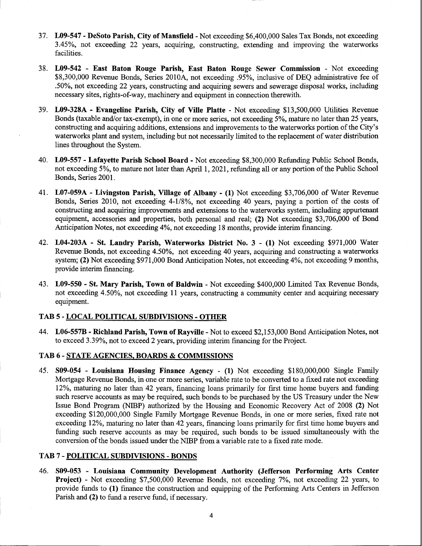- 37. L09-547 DeSoto Parish, City of Mansfield Not exceeding \$6,400,000 Sales Tax Bonds, not exceeding 3.45%, not exceeding 22 years, acquiring, constructing, extending and improving the waterworks facilities.
- 38. L09-542 East Baton Rouge Parish, East Baton Rouge Sewer Commission Not exceeding \$8,300,000 Revenue Bonds, Series 2010A, not exceeding .95%, inclusive of DEQ administrative fee of .50%, not exceeding 22 years, constructing and acquiring sewers and sewerage disposal works, including necessary sites, rights-of-way, machinery and equipment in connection therewith.
- 39. L09-328A Evangeline Parish, City of Ville Platte Not exceeding \$13,500,000 Utilities Revenue Bonds (taxable and/or tax-exempt), in one or more series, not exceeding 5%, mature no later than 25 years, constructing and acquiring additions, extensions and improvements to the waterworks portion of the City's waterworks plant and system, including but not necessarily limited to the replacement of water distribution lines throughout the System.
- 40. L09-557 Lafayette Parish School Board Not exceeding \$8,300,000 Refunding Public School Bonds, not exceeding 5%, to mature not later than April 1, 2021, refunding all or any portion of the Public School Bonds, Series 2001.
- 41. L07-059A Livingston Parish, Village of Albany (1) Not exceeding \$3,706,000 of Water Revenue Bonds, Series 2010, not exceeding 4-1/8%, not exceeding 40 years, paying a portion of the costs of constructing and acquiring improvements and extensions to the waterworks system, including appurtenant equipment, accessories and properties, both personal and real; (2) Not exceeding \$3,706,000 of Bond Anticipation Notes, not exceeding 4%, not exceeding 18 months, provide interim financing.
- 42. L04-203A St. Landry Parish, Waterworks District No. 3 (1) Not exceeding \$971,000 Water Revenue Bonds, not exceeding 4.50%, not exceeding 40 years, acquiring and constructing a waterworks system; (2) Not exceeding \$971,000 Bond Anticipation Notes, not exceeding 4%, not exceeding 9 months, provide interim financing.
- 43. L09-550 St. Mary Parish, Town of Baldwin Not exceeding \$400,000 Limited Tax Revenue Bonds, not exceeding 4.50%, not exceeding 11 years, constructing a community center and acquiring necessary equipment.

## **TAB 5 - LOCAL POLITICAL SUBDIVISIONS - OTHER**

44. L06-557B - Richland Parish, Town of Rayville - Not to exceed \$2,153,000 Bond Anticipation Notes, not to exceed 3.39%, not to exceed 2 years, providing interim financing for the Project.

#### TAB 6 - STATE AGENCIES, BOARDS & COMMISSIONS

45. S09-054 - Louisiana Housing Finance Agency - (1) Not exceeding \$180,000,000 Single Family Mortgage Revenue Bonds, in one or more series, variable rate to be converted to a fixed rate not exceeding 12%, maturing no later than 42 years, financing loans primarily for first time home buyers and funding such reserve accounts as may be required, such bonds to be purchased by the US Treasury under the New Issue Bond Program (NIBP) authorized by the Housing and Economic Recovery Act of 2008 (2) Not exceeding \$120,000,000 Single Family Mortgage Revenue Bonds, in one or more series, fixed rate not exceeding 12%, maturing no later than 42 years, financing loans primarily for first time home buyers and funding such reserve accounts as may be required, such bonds to be issued simultaneously with the conversion of the bonds issued under the NIBP from a variable rate to a fixed rate mode.

# **TAB 7 - POLITICAL SUBDIVISIONS - BONDS**

46. S09-053 - Louisiana Community Development Authority (Jefferson Performing Arts Center **Project)** - Not exceeding \$7,500,000 Revenue Bonds, not exceeding 7%, not exceeding 22 years, to provide funds to (1) finance the construction and equipping of the Performing Arts Centers in Jefferson Parish and (2) to fund a reserve fund, if necessary.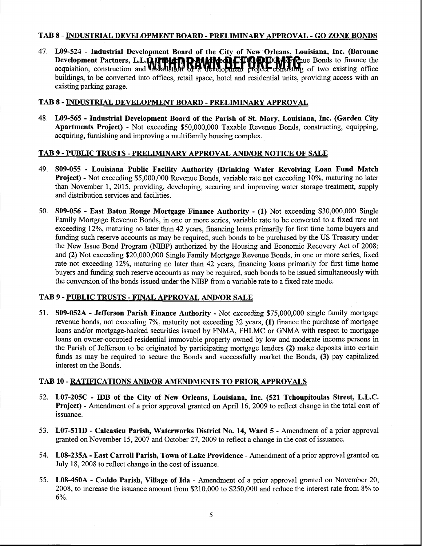#### TAB 8 - INDUSTRIAL DEVELOPMENT BOARD - PRELIMINARY APPROVAL - GO ZONE BONDS

47. L09-524 - Industrial Development Board of the City of New Orleans, Louisiana, Inc. (Baronne Development Partners, L.L.COMPION DAMARA ET COMPIANT Cue Bonds to finance the acquisition, construction and Installation of a development project consisting of two existing office buildings, to be converted into offices, retail space, hotel and residential units, providing access with an existing parking garage.

## TAB 8 - INDUSTRIAL DEVELOPMENT BOARD - PRELIMINARY APPROVAL

48. L09-565 - Industrial Development Board of the Parish of St. Mary, Louisiana, Inc. (Garden City **Apartments Project)** - Not exceeding \$50,000,000 Taxable Revenue Bonds, constructing, equipping, acquiring, furnishing and improving a multifamily housing complex.

# **TAB 9 - PUBLIC TRUSTS - PRELIMINARY APPROVAL AND/OR NOTICE OF SALE**

- 49. S09-055 Louisiana Public Facility Authority (Drinking Water Revolving Loan Fund Match **Project)** - Not exceeding \$5,000,000 Revenue Bonds, variable rate not exceeding 10%, maturing no later than November 1, 2015, providing, developing, securing and improving water storage treatment, supply and distribution services and facilities.
- S09-056 East Baton Rouge Mortgage Finance Authority (1) Not exceeding \$30,000,000 Single 50. Family Mortgage Revenue Bonds, in one or more series, variable rate to be converted to a fixed rate not exceeding 12%, maturing no later than 42 years, financing loans primarily for first time home buyers and funding such reserve accounts as may be required, such bonds to be purchased by the US Treasury under the New Issue Bond Program (NIBP) authorized by the Housing and Economic Recovery Act of 2008; and (2) Not exceeding \$20,000,000 Single Family Mortgage Revenue Bonds, in one or more series, fixed rate not exceeding 12%, maturing no later than 42 years, financing loans primarily for first time home buyers and funding such reserve accounts as may be required, such bonds to be issued simultaneously with the conversion of the bonds issued under the NIBP from a variable rate to a fixed rate mode.

## TAB 9 - PUBLIC TRUSTS - FINAL APPROVAL AND/OR SALE

51. S09-052A - Jefferson Parish Finance Authority - Not exceeding \$75,000,000 single family mortgage revenue bonds, not exceeding 7%, maturity not exceeding 32 years, (1) finance the purchase of mortgage loans and/or mortgage-backed securities issued by FNMA, FHLMC or GNMA with respect to mortgage loans on owner-occupied residential immovable property owned by low and moderate income persons in the Parish of Jefferson to be originated by participating mortgage lenders (2) make deposits into certain funds as may be required to secure the Bonds and successfully market the Bonds, (3) pay capitalized interest on the Bonds.

## TAB 10 - RATIFICATIONS AND/OR AMENDMENTS TO PRIOR APPROVALS

 $\sim$ 

- 52. L07-205C IDB of the City of New Orleans, Louisiana, Inc. (521 Tchoupitoulas Street, L.L.C. **Project**) - Amendment of a prior approval granted on April 16, 2009 to reflect change in the total cost of issuance.
- 53. L07-511D Calcasieu Parish, Waterworks District No. 14, Ward 5 Amendment of a prior approval granted on November 15, 2007 and October 27, 2009 to reflect a change in the cost of issuance.
- 54. L08-235A East Carroll Parish, Town of Lake Providence Amendment of a prior approval granted on July 18, 2008 to reflect change in the cost of issuance.
- 55. L08-450A Caddo Parish, Village of Ida Amendment of a prior approval granted on November 20, 2008, to increase the issuance amount from \$210,000 to \$250,000 and reduce the interest rate from 8% to 6%.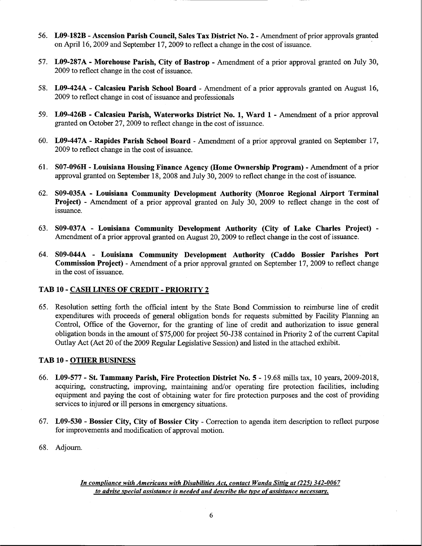- 56. L09-182B Ascension Parish Council, Sales Tax District No. 2 Amendment of prior approvals granted on April 16, 2009 and September 17, 2009 to reflect a change in the cost of issuance.
- 57. L09-287A Morehouse Parish, City of Bastrop Amendment of a prior approval granted on July 30, 2009 to reflect change in the cost of issuance.
- 58. L09-424A Calcasieu Parish School Board Amendment of a prior approvals granted on August 16, 2009 to reflect change in cost of issuance and professionals
- 59. L09-426B Calcasieu Parish, Waterworks District No. 1, Ward 1 Amendment of a prior approval granted on October 27, 2009 to reflect change in the cost of issuance.
- 60. L09-447A Rapides Parish School Board Amendment of a prior approval granted on September 17, 2009 to reflect change in the cost of issuance.
- 61. S07-096H Louisiana Housing Finance Agency (Home Ownership Program) Amendment of a prior approval granted on September 18, 2008 and July 30, 2009 to reflect change in the cost of issuance.
- 62. S09-035A Louisiana Community Development Authority (Monroe Regional Airport Terminal **Project**) - Amendment of a prior approval granted on July 30, 2009 to reflect change in the cost of issuance.
- 63. S09-037A Louisiana Community Development Authority (City of Lake Charles Project) -Amendment of a prior approval granted on August 20, 2009 to reflect change in the cost of issuance.
- 64. S09-044A Louisiana Community Development Authority (Caddo Bossier Parishes Port **Commission Project**) - Amendment of a prior approval granted on September 17, 2009 to reflect change in the cost of issuance.

## TAB 10 - CASH LINES OF CREDIT - PRIORITY 2

65. Resolution setting forth the official intent by the State Bond Commission to reimburse line of credit expenditures with proceeds of general obligation bonds for requests submitted by Facility Planning an Control, Office of the Governor, for the granting of line of credit and authorization to issue general obligation bonds in the amount of \$75,000 for project 50-J38 contained in Priority 2 of the current Capital Outlay Act (Act 20 of the 2009 Regular Legislative Session) and listed in the attached exhibit.

#### **TAB 10 - OTHER BUSINESS**

- 66. L09-577 St. Tammany Parish, Fire Protection District No. 5 19.68 mills tax, 10 years, 2009-2018, acquiring, constructing, improving, maintaining and/or operating fire protection facilities, including equipment and paying the cost of obtaining water for fire protection purposes and the cost of providing services to injured or ill persons in emergency situations.
- 67. L09-530 Bossier City, City of Bossier City Correction to agenda item description to reflect purpose for improvements and modification of approval motion.
- 68. Adjourn.

In compliance with Americans with Disabilities Act, contact Wanda Sittig at (225) 342-0067 to advise special assistance is needed and describe the type of assistance necessary.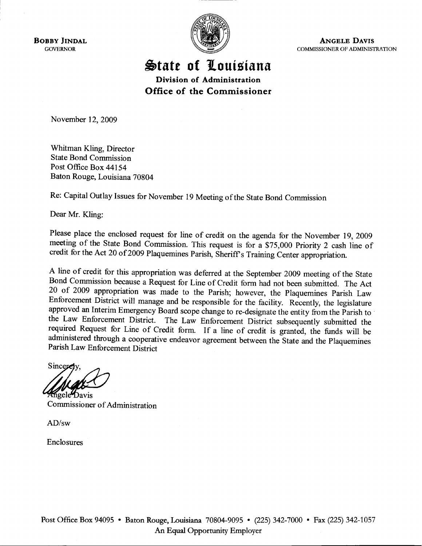**BOBBY JINDAL GOVERNOR** 



**ANGELE DAVIS** COMMISSIONER OF ADMINISTRATION

State of Louisiana Division of Administration

Office of the Commissioner

November 12, 2009

Whitman Kling, Director **State Bond Commission** Post Office Box 44154 Baton Rouge, Louisiana 70804

Re: Capital Outlay Issues for November 19 Meeting of the State Bond Commission

Dear Mr. Kling:

Please place the enclosed request for line of credit on the agenda for the November 19, 2009 meeting of the State Bond Commission. This request is for a \$75,000 Priority 2 cash line of credit for the Act 20 of 2009 Plaquemines Parish, Sheriff's Training Center appropriation.

A line of credit for this appropriation was deferred at the September 2009 meeting of the State Bond Commission because a Request for Line of Credit form had not been submitted. The Act 20 of 2009 appropriation was made to the Parish; however, the Plaquemines Parish Law Enforcement District will manage and be responsible for the facility. Recently, the legislature approved an Interim Emergency Board scope change to re-designate the entity from the Parish to the Law Enforcement District. The Law Enforcement District subsequently submitted the required Request for Line of Credit form. If a line of credit is granted, the funds will be administered through a cooperative endeavor agreement between the State and the Plaquemines Parish Law Enforcement District

Sincerciv ngele Davis

Commissioner of Administration

 $AD/sw$ 

**Enclosures**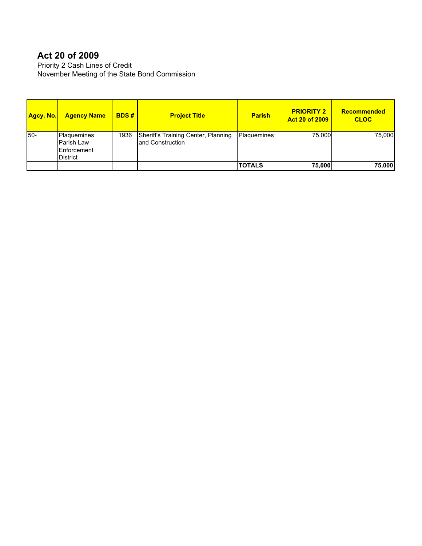# **Act 20 of 2009**

Priority 2 Cash Lines of Credit November Meeting of the State Bond Commission

| <u> Agcy. No.</u> | <b>Agency Name</b>                                            | <b>BDS#</b> | <b>Project Title</b>                                     | <b>Parish</b> | <b>PRIORITY 2</b><br><b>Act 20 of 2009</b> | Recommended<br><b>CLOC</b> |
|-------------------|---------------------------------------------------------------|-------------|----------------------------------------------------------|---------------|--------------------------------------------|----------------------------|
| l50-              | Plaquemines<br>lParish Law<br><b>IEnforcement</b><br>District | 1936        | Sheriff's Training Center, Planning<br>land Construction | Plaquemines   | 75,000                                     | 75,000                     |
|                   |                                                               |             |                                                          | <b>TOTALS</b> | 75,000                                     | 75,000                     |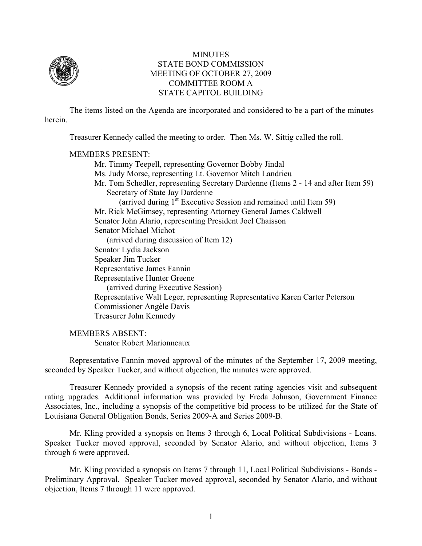

# **MINUTES** STATE BOND COMMISSION MEETING OF OCTOBER 27, 2009 COMMITTEE ROOM A STATE CAPITOL BUILDING

The items listed on the Agenda are incorporated and considered to be a part of the minutes herein.

Treasurer Kennedy called the meeting to order. Then Ms. W. Sittig called the roll.

## MEMBERS PRESENT:

 Mr. Timmy Teepell, representing Governor Bobby Jindal Ms. Judy Morse, representing Lt. Governor Mitch Landrieu Mr. Tom Schedler, representing Secretary Dardenne (Items 2 - 14 and after Item 59) Secretary of State Jay Dardenne (arrived during  $1<sup>st</sup>$  Executive Session and remained until Item 59) Mr. Rick McGimsey, representing Attorney General James Caldwell Senator John Alario, representing President Joel Chaisson Senator Michael Michot (arrived during discussion of Item 12) Senator Lydia Jackson Speaker Jim Tucker Representative James Fannin Representative Hunter Greene (arrived during Executive Session) Representative Walt Leger, representing Representative Karen Carter Peterson Commissioner Angèle Davis Treasurer John Kennedy

 MEMBERS ABSENT: Senator Robert Marionneaux

Representative Fannin moved approval of the minutes of the September 17, 2009 meeting, seconded by Speaker Tucker, and without objection, the minutes were approved.

Treasurer Kennedy provided a synopsis of the recent rating agencies visit and subsequent rating upgrades. Additional information was provided by Freda Johnson, Government Finance Associates, Inc., including a synopsis of the competitive bid process to be utilized for the State of Louisiana General Obligation Bonds, Series 2009-A and Series 2009-B.

Mr. Kling provided a synopsis on Items 3 through 6, Local Political Subdivisions - Loans. Speaker Tucker moved approval, seconded by Senator Alario, and without objection, Items 3 through 6 were approved.

Mr. Kling provided a synopsis on Items 7 through 11, Local Political Subdivisions - Bonds - Preliminary Approval. Speaker Tucker moved approval, seconded by Senator Alario, and without objection, Items 7 through 11 were approved.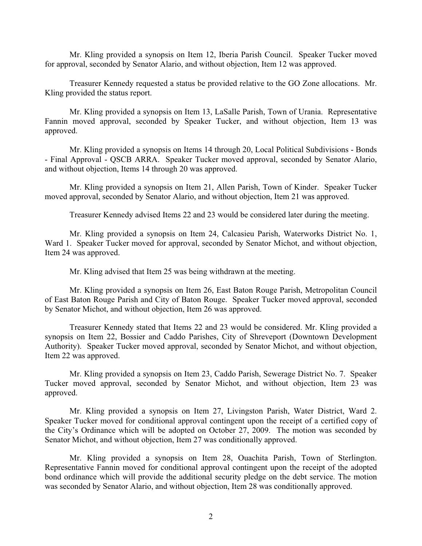Mr. Kling provided a synopsis on Item 12, Iberia Parish Council. Speaker Tucker moved for approval, seconded by Senator Alario, and without objection, Item 12 was approved.

Treasurer Kennedy requested a status be provided relative to the GO Zone allocations. Mr. Kling provided the status report.

Mr. Kling provided a synopsis on Item 13, LaSalle Parish, Town of Urania. Representative Fannin moved approval, seconded by Speaker Tucker, and without objection, Item 13 was approved.

Mr. Kling provided a synopsis on Items 14 through 20, Local Political Subdivisions - Bonds - Final Approval - QSCB ARRA. Speaker Tucker moved approval, seconded by Senator Alario, and without objection, Items 14 through 20 was approved.

Mr. Kling provided a synopsis on Item 21, Allen Parish, Town of Kinder. Speaker Tucker moved approval, seconded by Senator Alario, and without objection, Item 21 was approved.

Treasurer Kennedy advised Items 22 and 23 would be considered later during the meeting.

Mr. Kling provided a synopsis on Item 24, Calcasieu Parish, Waterworks District No. 1, Ward 1. Speaker Tucker moved for approval, seconded by Senator Michot, and without objection, Item 24 was approved.

Mr. Kling advised that Item 25 was being withdrawn at the meeting.

Mr. Kling provided a synopsis on Item 26, East Baton Rouge Parish, Metropolitan Council of East Baton Rouge Parish and City of Baton Rouge. Speaker Tucker moved approval, seconded by Senator Michot, and without objection, Item 26 was approved.

Treasurer Kennedy stated that Items 22 and 23 would be considered. Mr. Kling provided a synopsis on Item 22, Bossier and Caddo Parishes, City of Shreveport (Downtown Development Authority). Speaker Tucker moved approval, seconded by Senator Michot, and without objection, Item 22 was approved.

Mr. Kling provided a synopsis on Item 23, Caddo Parish, Sewerage District No. 7. Speaker Tucker moved approval, seconded by Senator Michot, and without objection, Item 23 was approved.

Mr. Kling provided a synopsis on Item 27, Livingston Parish, Water District, Ward 2. Speaker Tucker moved for conditional approval contingent upon the receipt of a certified copy of the City's Ordinance which will be adopted on October 27, 2009. The motion was seconded by Senator Michot, and without objection, Item 27 was conditionally approved.

Mr. Kling provided a synopsis on Item 28, Ouachita Parish, Town of Sterlington. Representative Fannin moved for conditional approval contingent upon the receipt of the adopted bond ordinance which will provide the additional security pledge on the debt service. The motion was seconded by Senator Alario, and without objection, Item 28 was conditionally approved.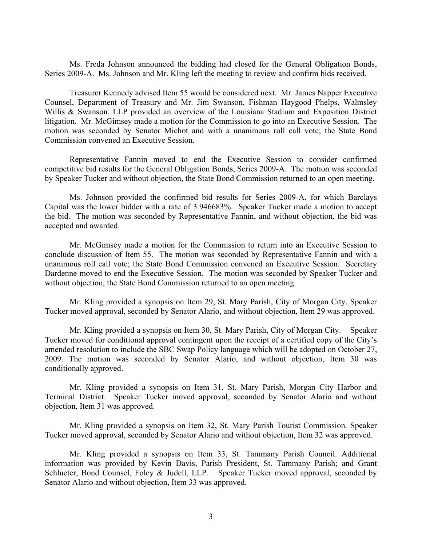Ms. Freda Johnson announced the bidding had closed for the General Obligation Bonds, Series 2009-A. Ms. Johnson and Mr. Kling left the meeting to review and confirm bids received.

Treasurer Kennedy advised Item 55 would be considered next. Mr. James Napper Executive Counsel, Department of Treasury and Mr. Jim Swanson, Fishman Haygood Phelps, Walmsley Willis & Swanson, LLP provided an overview of the Louisiana Stadium and Exposition District litigation. Mr. McGimsey made a motion for the Commission to go into an Executive Session. The motion was seconded by Senator Michot and with a unanimous roll call vote; the State Bond Commission convened an Executive Session.

Representative Fannin moved to end the Executive Session to consider confirmed competitive bid results for the General Obligation Bonds, Series 2009-A. The motion was seconded by Speaker Tucker and without objection, the State Bond Commission returned to an open meeting.

Ms. Johnson provided the confirmed bid results for Series 2009-A, for which Barclays Capital was the lower bidder with a rate of 3.946683%. Speaker Tucker made a motion to accept the bid. The motion was seconded by Representative Fannin, and without objection, the bid was accepted and awarded.

Mr. McGimsey made a motion for the Commission to return into an Executive Session to conclude discussion of Item 55. The motion was seconded by Representative Fannin and with a unanimous roll call vote; the State Bond Commission convened an Executive Session. Secretary Dardenne moved to end the Executive Session. The motion was seconded by Speaker Tucker and without objection, the State Bond Commission returned to an open meeting.

Mr. Kling provided a synopsis on Item 29, St. Mary Parish, City of Morgan City. Speaker Tucker moved approval, seconded by Senator Alario, and without objection, Item 29 was approved.

Mr. Kling provided a synopsis on Item 30, St. Mary Parish, City of Morgan City. Speaker Tucker moved for conditional approval contingent upon the receipt of a certified copy of the City's amended resolution to include the SBC Swap Policy language which will be adopted on October 27, 2009. The motion was seconded by Senator Alario, and without objection, Item 30 was conditionally approved.

 Mr. Kling provided a synopsis on Item 31, St. Mary Parish, Morgan City Harbor and Terminal District. Speaker Tucker moved approval, seconded by Senator Alario and without objection, Item 31 was approved.

Mr. Kling provided a synopsis on Item 32, St. Mary Parish Tourist Commission. Speaker Tucker moved approval, seconded by Senator Alario and without objection, Item 32 was approved.

Mr. Kling provided a synopsis on Item 33, St. Tammany Parish Council. Additional information was provided by Kevin Davis, Parish President, St. Tammany Parish; and Grant Schlueter, Bond Counsel, Foley & Judell, LLP. Speaker Tucker moved approval, seconded by Senator Alario and without objection, Item 33 was approved.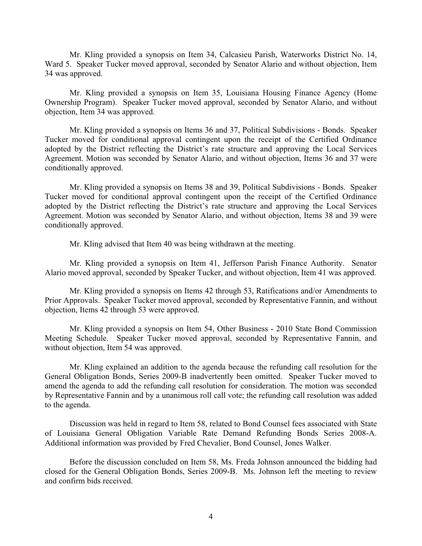Mr. Kling provided a synopsis on Item 34, Calcasieu Parish, Waterworks District No. 14, Ward 5. Speaker Tucker moved approval, seconded by Senator Alario and without objection, Item 34 was approved.

Mr. Kling provided a synopsis on Item 35, Louisiana Housing Finance Agency (Home Ownership Program). Speaker Tucker moved approval, seconded by Senator Alario, and without objection, Item 34 was approved.

Mr. Kling provided a synopsis on Items 36 and 37, Political Subdivisions - Bonds. Speaker Tucker moved for conditional approval contingent upon the receipt of the Certified Ordinance adopted by the District reflecting the District's rate structure and approving the Local Services Agreement. Motion was seconded by Senator Alario, and without objection, Items 36 and 37 were conditionally approved.

Mr. Kling provided a synopsis on Items 38 and 39, Political Subdivisions - Bonds. Speaker Tucker moved for conditional approval contingent upon the receipt of the Certified Ordinance adopted by the District reflecting the District's rate structure and approving the Local Services Agreement. Motion was seconded by Senator Alario, and without objection, Items 38 and 39 were conditionally approved.

Mr. Kling advised that Item 40 was being withdrawn at the meeting.

Mr. Kling provided a synopsis on Item 41, Jefferson Parish Finance Authority. Senator Alario moved approval, seconded by Speaker Tucker, and without objection, Item 41 was approved.

Mr. Kling provided a synopsis on Items 42 through 53, Ratifications and/or Amendments to Prior Approvals. Speaker Tucker moved approval, seconded by Representative Fannin, and without objection, Items 42 through 53 were approved.

Mr. Kling provided a synopsis on Item 54, Other Business - 2010 State Bond Commission Meeting Schedule. Speaker Tucker moved approval, seconded by Representative Fannin, and without objection, Item 54 was approved.

Mr. Kling explained an addition to the agenda because the refunding call resolution for the General Obligation Bonds, Series 2009-B inadvertently been omitted. Speaker Tucker moved to amend the agenda to add the refunding call resolution for consideration. The motion was seconded by Representative Fannin and by a unanimous roll call vote; the refunding call resolution was added to the agenda.

Discussion was held in regard to Item 58, related to Bond Counsel fees associated with State of Louisiana General Obligation Variable Rate Demand Refunding Bonds Series 2008-A. Additional information was provided by Fred Chevalier, Bond Counsel, Jones Walker.

Before the discussion concluded on Item 58, Ms. Freda Johnson announced the bidding had closed for the General Obligation Bonds, Series 2009-B. Ms. Johnson left the meeting to review and confirm bids received.